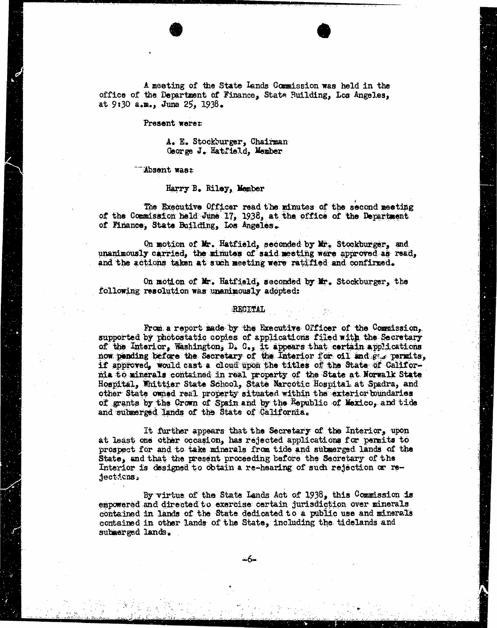A meeting of the State Lands Commission was held in the office of the Department of Finance, State Building, Los Angeles, at 9:30 a.m., June 25, 1938.

### Present were:

A. E. Stockburger, Chairman George J. Hatfield, Member

"Absent was:

Harry B. Riley, Member

The Executive Officer read the minutes of the second meeting of the Commission held June 17, 1938, at the office of the Department of Finance, State Building, Los Angeles.

On motion of Mr. Hatfield, seconded by Mr. Stockburger, and unanimously carried, the minutes of said meeting were approved as read, and the actions taken at such meeting were ratified and confirmed.

On motion of Mr. Hatfield, seconded by Mr. Stockburger, the following resolution was unanimously adopted:

### RECITAL

From a report made by the Executive Officer of the Commission, supported by photostatic copies of applications filed with the Secretary of the Interior, Washington,  $D_t$ ,  $C_{\bullet}$ , it appears that certain applications now pending before the Secretary of the Interior for oil and gis permits, if approved, would cast a cloud upon the titles of the State of Callfornia to minerals contained in real property of the State at Norwalk State Hospital, Whittier State School, State Narcotic Hospital at Spadra, and other State omed real property situated within the exterior boundaries of grants by the Crown of Spain and by the Republic of Mexico, and tide and submerged lands of the State of California.

It further appears that the Secretary of the Interior, upon at least one other occasion, has rejected applications for permits to prospect for and to take minerals from tide and submerged lands of the State, and that the present proceeding before the Secretary of the Interior is designed to obtain a re-hearing of such rejection or reject:cns>

By virtue of the Stats Lands Act of 1938, this Commission is empowered and directed to exercise certain jurisdiction over minerals contained in lands of the State dedicated to a public use and minerals contained in other lands of the State, including the tidelands and submerged lands.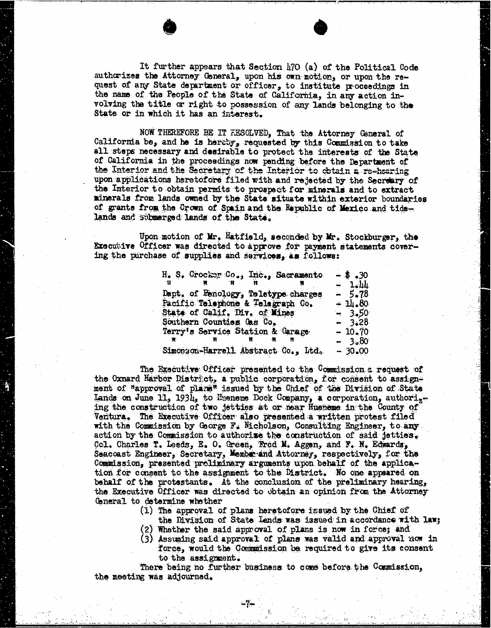It further appears that Section 470 (a) of the Political Code authorizes the Attorney General, upon his own motion, or upon the request of any State department or officer, to institute proceedings in the name of the People of the State of California, in any action involving the title or right to possession of any lands belonging to the State or in which it has an interest.

NOW THEREFORE BE IT RESOLVED, That the Attorney General of California be, and he is hereby, requested by this Commission to take all steps necessary and desirable to protect the interests of the State of California in the proceedings now pending before the Department of the Interior and the Secretary of the Interior to obtain a re-hearing upon applications heretofore filed with and rejected by the Secretary of the Interior to obtain permits to prospect for minerals and to extract minerals from lands owned by the State situate within exterior boundaries of grants from the Crown of Spain and the Republic of Mexico and tidelands and submerged lands of the State.

Upon motion of Mr. Hatfield, seconded by Mr. Stockburger, the Executive Officer was directed to approve for payment statements covering the purchase of supplies and services, as follows:

| H. S. Crocker Co., Inc., Sacramento | $-$ \$ .30 |
|-------------------------------------|------------|
| ार ।<br>$\mathbf{H}$                | $-1.44$    |
| Dapt. of Henology, Teletype charges | $-5.78$    |
| Pacific Telephone & Telegraph Co.   | $-14.80$   |
| State of Calif. Div. of Mines       | $-3.50$    |
| Southern Counties Oss Co.           | $-3.28$    |
| Terry's Service Station & Garage    | $-10.70$   |
|                                     | $-3.80$    |
| Simonzon-Harrell Abstract Co., Ltd. | $-30.00$   |

The Executive Officer presented to the Commission a request of the Oxnard Harbor District, a public corporation, for consent to assign= ment of "approval of plane" issued by the Chief of the Division of State Lands on June 11, 1934, to Hueneme Dock Company, a corporation, authori, ing the construction of two jetties at or near Hueneme in the County Ventura. The Executive Officer also presented a written protest filed with the Commission by George F. Nicholson, Consulting Engineer, to any action by the Commission to authorize the construction of said jetties. Col. Charles T. Leeds, E. 0. Green, Fred M. Aggen, and F. N. Edwards, Seacoast Engineer, Secretary, Member and Attorney, respectively, for the Commission, presented preliminary arguments upon behalf of the application for consent to the assignment to the District. No one appeared on behalf of the protestants. At the conclusion of the preliminary hearing, the Executive Officer was directed to obtain an opinion from the Attorney General to determine whether

- (1) The approval of plans heretofore issued by the Chief of
- the Division of State Lends was issued in accordance with law;<br>(2) Whether the said approval of plans is now in force; and
- (3) Assuming said approval of plans was valid and approval now in force, would the Commission be required to give its consent to the assignment.

There being no further business to come before the Commission, the meeting was adjourned.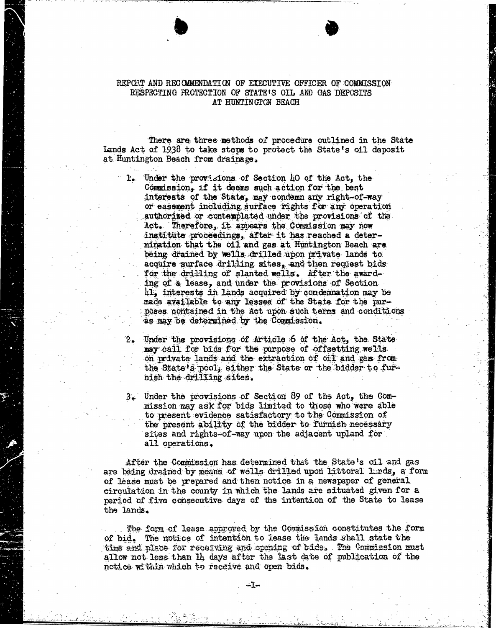# REPORT AND RECOMMENDATION OF EXECUTIVE OFFICER OF COMMISSION RESPECTING PROTECTION OF STATE'S OIL AND GAS DEPOSITS AT HUNTINGTON BEACH

There are three methods of procedure outlined in the State Lands Act of 1938 to take steps to protect the State's oil deposit at Huntington Beach from drainage.

1. Under the provisions of Section LO of the Act, the Commission, if it deems such action for the best interests of the State, may condemn any right-of-way or easement including surface rights for any operation authorized or contemplated under the provisions of the Act. Therefore, it appears the Commission may now institute proceedings, after it has reached a determination that the oil and gas at Huntington Beach are being drained by wells drilled upon private lands to acquire surface drilling sites, and then request bids for the drilling of slanted wells. After the awarding of a lease, and under the provisions of Section 41, interests in lands acquired by condemnation may be made available to any lessee of the State for the purposes contained in the Act upon such terms and conditions as may be determined by the Commission.

- Under the provisions of Article 6 of the Act, the State may call for bids for the purpose of offsetting wells. on private lands and the extraction of oil and gas from the State's pool, either the State or the bidder to furnish the drilling sites.
- 3. Under the provisions of Section 89 of the Act, the Commission may ask for bids limited to those who were able to present evidence satisfactory to the Commission of the present ability of the bidder to furnish necessary sites and rights-of-way upon the adjacent upland for all operations.

After the Commission has determined that the State's oil and gas are being drained by means of wells drilled upon littoral Lunds, a form of lease must be prepared and then notice in a newspaper of general circulation in the county in which the lands are situated given for a period of five consecutive days of the intention of the State to lease the lands.

The form of lease approved by the Commission constitutes the form of bid. The notice of intention to lease the lands shall state the time and place for receiving and opening of bids. . The Commission mast allow not less than 14 days after the last date of publication of the notice within which to receive and open bids.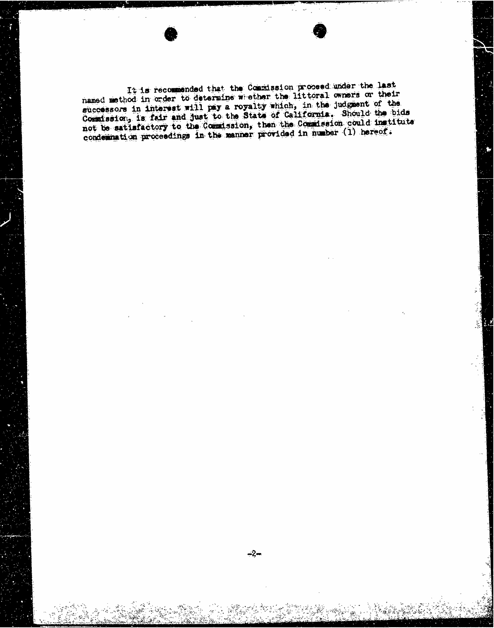It is recommended that the Commission proceed under the last<br>named method in order to determine weether the littoral owners or their successors in interest will pay a royalty which, in the judgment of the successors in interest will pay a royalty which is the state. Should  $\frac{1}{3}$  is fair and just to the State of  $\frac{1}{3}$  is  $\frac{1}{3}$  the  $\frac{1}{3}$ not be satisfactory to the Commission, then the  $\frac{1}{2}$  in number  $(1)$  hereof. condemnation proceedings in the manner provided in the manner provided in the manner of the manner of the manner of the manner of the manner of the manner of the manner of the manner of the manner of the manner of the mann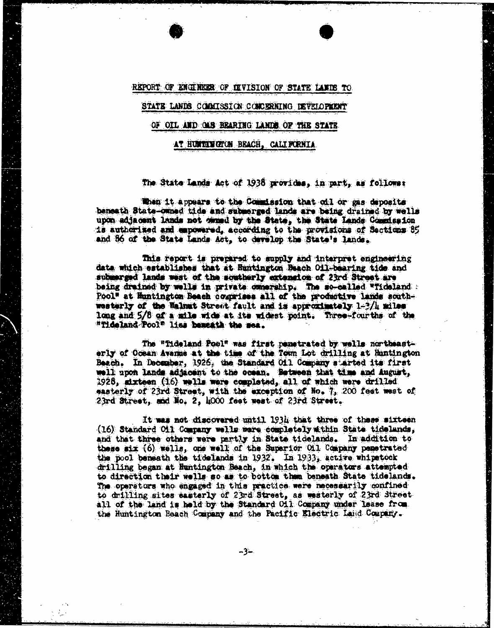#### REPORT OF ENGINEER OF JEVISION OF STATE LANDS TO.

## STATE LANDS COMMISSION CONCERNING DEVELOPMENT

## OF OIL AND CUS BEARING LANDS OF THE STATE

#### AT HUNTINGTON BEACH, . CALIFORNIA

#### The State Lands Act of 1938 provides, in part, as followst

When it appears to the Commission that oil or gas deposits beneath State-owned tide and submerged lands are being drained by wells upon adjacent lands not ded by the State, the State Lands Comadssion is authorized and empowered, according to the provisions of Sections 05 and 86 of the State Lands Act, to develop the State's lands.

This report is prepared to supply and interpret engineering data which establishes that at Huntington Beach Oil-bearing tide and submerged lands west of the southerly extension of 23rd Street are being drained by walls in private ownership. The so-called "Tideland : Pool" at Huntington Beach comprises all of the productive lands scathwesterly of the Walnut Street fault and is approximately 1-3/4 miles long and 5/8 of a mile wide at its widest point. Three-fourths of the "Tideland Pool" lies beneath the sea.

The "Tideland Poel" was first penetrated by wells northeasterly of Ocean Avarice at the time of the Town Lot drilling at Huntington Beach. In December, 1926, the Standard Oil Company started its first 11 upon lands adjacent to the ocean. Between that time and August, 1928, dxteen (16) wells were completed, all of which were drilled masterly of 23rd Street, with the exception of No. 7, 200 fest west of 23rd Street, and No. 2, looo feet west of 23rd Street.

It was not discovered until 1934 that three of these sixteen (16) Standard Oil Company walls were completely il thin State tidelands, and that three others were partly in State tidelands. In addition to these six (6) wells, one well of the Superior Oil Company penetrated the pool beneath the tidelands in 1932. In 1933, active whipstock drilling began at Huntington Beach, in which the operators attempted to direction their wells so as to bottom them beneath State tidelands. The operators who engaged in this practice were necessarily confined to drilling sites easterly of 23rd Street, as westerly of 23rd Street all of the land is held by the Standard Oil Company under lease from the Huntington Beach Company and the Pacific Electric Laid Company.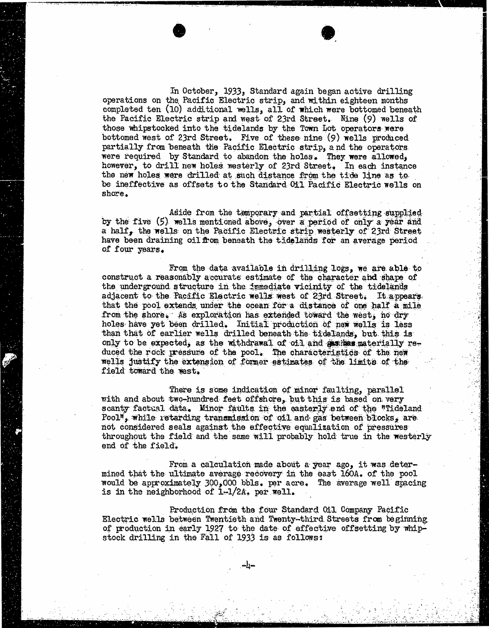In October, 1933, Standard again began active drilling operations on the Pacific Electric strip, and within eighteen months completed ten (10) additional wells, all of which were bottomed beneath the Pacific Electric strip and west of 23rd Street. Nine (9) wells of those whipstocked into the tidelands by the Town Lot operators were bottomed west of 23rd Street. Five of these nine (9) wells produced partially from beneath the Pacific Electric strip, and the operators were required by Standard to abandon the holes. They were allowed, however, to drill new holes westerly of 23rd Street. In each instance the new holes were drilled at such distance from the tide line as to be ineffective as offsets to the Standard Oil Pacific Electric wells on shore.

Aside from the temporary and partial offsetting supplied by the five (5) wells mentioned above, over a period of only a year and a half, the wells on the Pacific Electric strip westerly of 23rd Street have been draining oil from beneath the tidelands for an average period of four years.

From the data available in drilling logs, we are able to construct a reasonably accurate estimate of the character and shape of the underground structure in the immediate vicinity of the tidelands adjacent to the Pacific Electric wells west of 23rd Street. It appears. that the pool extends under the ocean for a distance of one half a mile from the shore. As exploration has extended toward the west, no dry holes have yet been drilled. Initial production of new wells is less than that of earlier wells drilled beneath the tidelands, but this is only to be expected, as the withdrawal of oil and gasithas materially reduced the rock pressure of the pool. The characteristics of the new wells justify the extension of former estimates of the limits of the field toward the west.

There is some indication of minor faulting, parallel with and about two-hundred feet offshore, but this is based on very scanty factual data. Minor faults in the easterly end of the "Tideland Pool", while retarding transmission of oil and gas between blocks, are not considered seals against the effective equalization of pressures throughout the field and the same will probably hold true in the westerly end of the field.

From a calculation made about a year ago, it was deter- mined that the ultimate average recovery in the east 160A. of the pool would be approximately 300,000 bbls. per acre. The average well spacing is in the neighborhood of 1-1/2A, per well.

Production from the four Standard Oil Company Pacific<br>Electric wells between Twentieth and Twenty-third Streets from beginning of production in early 1927 to the date of effective offsetting by whipstock drilling in the Fall of 1933 is as follows: